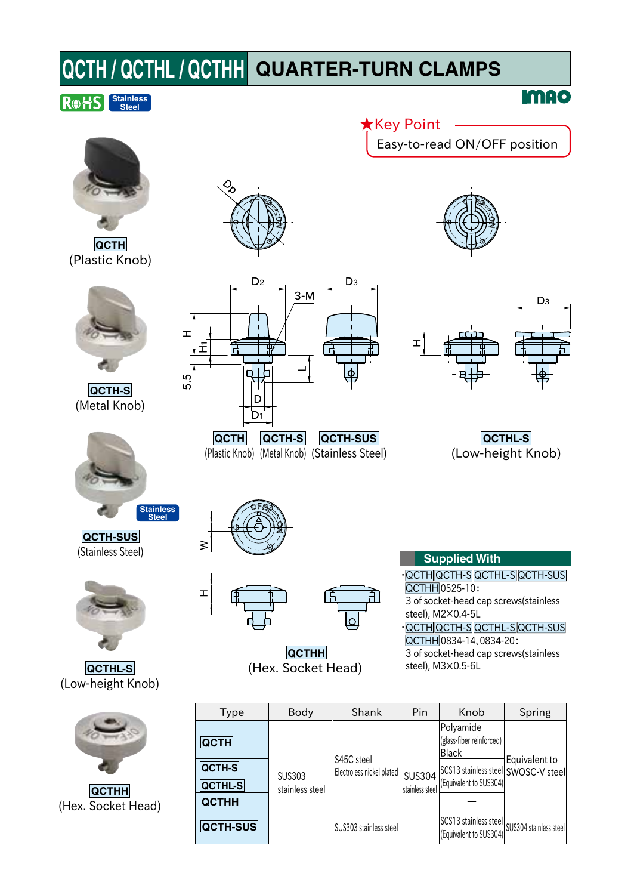# **QCTH / QCTHL / QCTHH QUARTER-TURN CLAMPS**

## **Stainless Steel**

**QCTH** (Plastic Knob)



**QCTH-S** (Metal Knob)



**QCTH-SUS** (Stainless Steel)



**QCTHL-S** (Low-height Knob)



**QCTHH** (Hex. Socket Head)

| Type           | Body                             | Shank                     | Pin                              | Knob                                                                   | Spring        |
|----------------|----------------------------------|---------------------------|----------------------------------|------------------------------------------------------------------------|---------------|
| <b>QCTH</b>    | <b>SUS303</b><br>stainless steel | S45C steel                | <b>SUS304</b><br>stainless steel | Polyamide<br>(glass-fiber reinforced)<br><b>Black</b>                  | Equivalent to |
| QCTH-S         |                                  | Electroless nickel plated |                                  | SCS13 stainless steel SWOSC-V steel                                    |               |
| <b>QCTHL-S</b> |                                  |                           |                                  | (Equivalent to SUS304)                                                 |               |
| <b>QCTHH</b>   |                                  |                           |                                  |                                                                        |               |
| QCTH-SUS       |                                  | SUS303 stainless steel    |                                  | SCS13 stainless steel SUS304 stainless steel<br>(Equivalent to SUS304) |               |







Easy-to-read ON/OFF position

**IMAO** 

★Key Point







**QCTHH** (Hex. Socket Head)

**Supplied With** QCTH QCTH-S QCTHL-S QCTH-SUS QCTHH 0525-10: 3 of socket-head cap screws(stainless

steel), M2×0.4-5L QCTH QCTH-S QCTHL-S QCTH-SUS

QCTHH 0834-14、0834-20: 3 of socket-head cap screws(stainless steel), M3×0.5-6L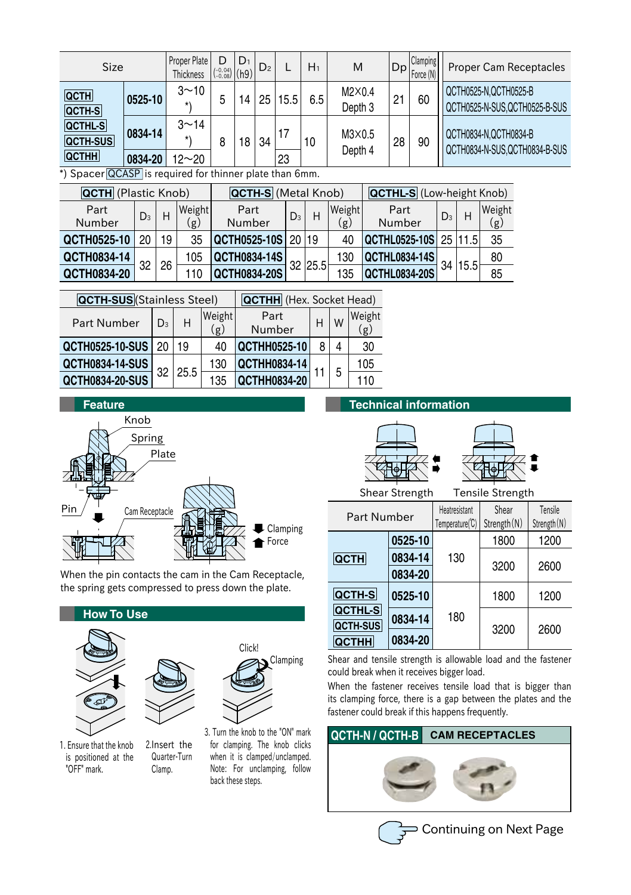| <b>Size</b>                       |         | Proper Plate<br><b>Thickness</b> | $\binom{-0.04}{-0.08}$ (h9) | $D_1$ | D <sub>2</sub> |      | $H_1$ | M                        |    | <b>Clamping</b><br>$ Dp _{\text{Force}(N)} $ | <b>Proper Cam Receptacles</b>                           |
|-----------------------------------|---------|----------------------------------|-----------------------------|-------|----------------|------|-------|--------------------------|----|----------------------------------------------|---------------------------------------------------------|
| <b>QCTH</b><br>QCTH-S             | 0525-10 | $3 - 10$<br>$\star$              | b                           | 14    | 25             | 15.5 | 6.5   | M2X0.4<br>Depth 3        | 21 | 60                                           | QCTH0525-N, QCTH0525-B<br>QCTH0525-N-SUS.QCTH0525-B-SUS |
| <b>QCTHL-S</b><br><b>QCTH-SUS</b> | 0834-14 | $3^{\sim}14$<br>$\star$          | 8                           | 18    | 34             | 17   | 10    | $M3\times0.5$<br>Depth 4 | 28 | 90                                           | QCTH0834-N.QCTH0834-B<br>QCTH0834-N-SUS.QCTH0834-B-SUS  |
| <b>QCTHH</b>                      | 0834-20 | $12 - 20$                        |                             |       |                | 23   |       |                          |    |                                              |                                                         |

\*) Spacer QCASP is required for thinner plate than 6mm.

| <b>QCTH</b> (Plastic Knob) |       |    |               | <b>QCTH-S</b> (Metal Knob) |       |         |               | <b>QCTHL-S</b> (Low-height Knob) |       |         |               |
|----------------------------|-------|----|---------------|----------------------------|-------|---------|---------------|----------------------------------|-------|---------|---------------|
| Part<br>Number             | $D_3$ |    | Weight<br>(g) | Part<br>Number             | $D_3$ |         | Weight<br>.g) | Part<br>Number                   | $D_3$ |         | Weight<br>(g) |
| QCTH0525-10                | 20    | 19 | 35            | $ QCTH0525-10S 20 19$      |       |         | 40            | $ QCTHL0525-10S $ 25   11.5      |       |         | 35            |
| QCTH0834-14                |       |    | 105           | <b>QCTH0834-14S</b>        |       |         | 130           | <b>QCTHL0834-14S</b>             |       |         | 80            |
| QCTH0834-20                | 32    | 26 |               | QCTH0834-20S               |       | 32 25.5 | 135           | <b>QCTHL0834-20S</b>             |       | 34 15.5 | 85            |

| <b>QCTH-SUS</b> (Stainless Steel) |                | <b>QCTHH</b> (Hex. Socket Head) |               |                     |   |   |               |
|-----------------------------------|----------------|---------------------------------|---------------|---------------------|---|---|---------------|
| <b>Part Number</b>                | D <sub>3</sub> | н                               | Weight<br>(g) | Part<br>Number      | H | W | Weight<br>(g) |
| QCTH0525-10-SUS 20                |                | 19                              | 40            | <b>QCTHH0525-10</b> |   |   | 30            |
| <b>QCTH0834-14-SUS</b>            |                | 25.5                            | 130           | <b>QCTHH0834-14</b> |   | 5 | 105           |
| <b>QCTH0834-20-SUS</b>            | 32             |                                 | 135           | QCTHH0834-20        |   |   | 110           |



When the pin contacts the cam in the Cam Receptacle, the spring gets compressed to press down the plate.



1. Ensure that the knob is positioned at the "OFF" mark.

2.Insert the Quarter-Turn Clamp.

for clamping. The knob clicks when it is clamped/unclamped. Note: For unclamping, follow back these steps.

**Technical information**





Shear Strength Tensile Strength

| Part Number                     |         | Heatresistant<br>Temperature(C) | Shear<br>Strength (N) | Tensile<br>Strength (N) |  |
|---------------------------------|---------|---------------------------------|-----------------------|-------------------------|--|
|                                 | 0525-10 |                                 | 1800                  | 1200                    |  |
| <b>QCTH</b>                     | 0834-14 | 130                             | 3200                  | 2600                    |  |
|                                 | 0834-20 |                                 |                       |                         |  |
| <b>QCTH-S</b>                   | 0525-10 |                                 | 1800                  | 1200                    |  |
| <b>QCTHL-S</b>                  | 0834-14 | 180                             |                       | 2600                    |  |
| <b>QCTH-SUS</b><br><b>QCTHH</b> | 0834-20 |                                 | 3200                  |                         |  |

Shear and tensile strength is allowable load and the fastener could break when it receives bigger load.

When the fastener receives tensile load that is bigger than its clamping force, there is a gap between the plates and the fastener could break if this happens frequently.

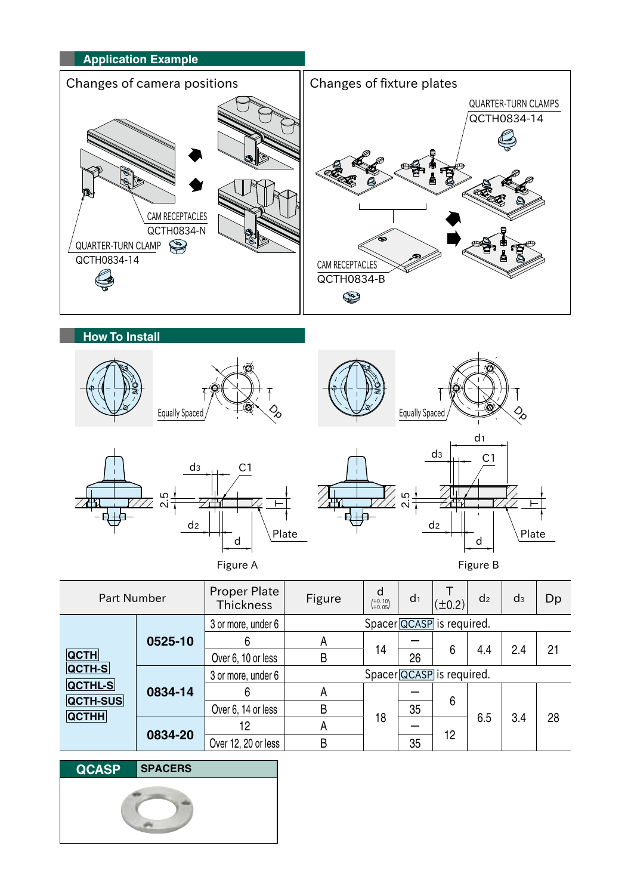